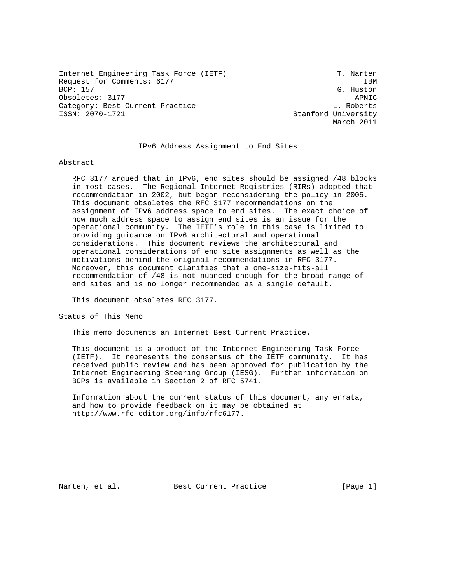Internet Engineering Task Force (IETF) T. Narten Request for Comments: 6177 IBM<br>BCP: 157 G. Huston Obsoletes: 3177 APNIC Category: Best Current Practice L. Roberts L. Roberts ISSN: 2070-1721 Stanford University

G. Huston March 2011

## IPv6 Address Assignment to End Sites

### Abstract

 RFC 3177 argued that in IPv6, end sites should be assigned /48 blocks in most cases. The Regional Internet Registries (RIRs) adopted that recommendation in 2002, but began reconsidering the policy in 2005. This document obsoletes the RFC 3177 recommendations on the assignment of IPv6 address space to end sites. The exact choice of how much address space to assign end sites is an issue for the operational community. The IETF's role in this case is limited to providing guidance on IPv6 architectural and operational considerations. This document reviews the architectural and operational considerations of end site assignments as well as the motivations behind the original recommendations in RFC 3177. Moreover, this document clarifies that a one-size-fits-all recommendation of /48 is not nuanced enough for the broad range of end sites and is no longer recommended as a single default.

This document obsoletes RFC 3177.

Status of This Memo

This memo documents an Internet Best Current Practice.

 This document is a product of the Internet Engineering Task Force (IETF). It represents the consensus of the IETF community. It has received public review and has been approved for publication by the Internet Engineering Steering Group (IESG). Further information on BCPs is available in Section 2 of RFC 5741.

 Information about the current status of this document, any errata, and how to provide feedback on it may be obtained at http://www.rfc-editor.org/info/rfc6177.

Narten, et al. Best Current Practice [Page 1]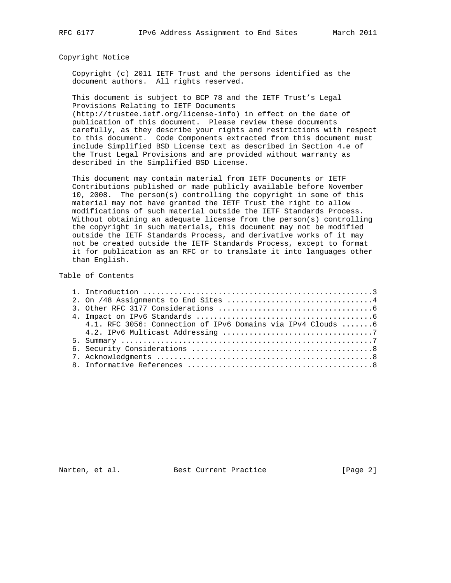## Copyright Notice

 Copyright (c) 2011 IETF Trust and the persons identified as the document authors. All rights reserved.

 This document is subject to BCP 78 and the IETF Trust's Legal Provisions Relating to IETF Documents

 (http://trustee.ietf.org/license-info) in effect on the date of publication of this document. Please review these documents carefully, as they describe your rights and restrictions with respect to this document. Code Components extracted from this document must include Simplified BSD License text as described in Section 4.e of the Trust Legal Provisions and are provided without warranty as described in the Simplified BSD License.

 This document may contain material from IETF Documents or IETF Contributions published or made publicly available before November 10, 2008. The person(s) controlling the copyright in some of this material may not have granted the IETF Trust the right to allow modifications of such material outside the IETF Standards Process. Without obtaining an adequate license from the person(s) controlling the copyright in such materials, this document may not be modified outside the IETF Standards Process, and derivative works of it may not be created outside the IETF Standards Process, except to format it for publication as an RFC or to translate it into languages other than English.

## Table of Contents

| 4.1. RFC 3056: Connection of IPv6 Domains via IPv4 Clouds 6 |
|-------------------------------------------------------------|
|                                                             |
|                                                             |
|                                                             |
|                                                             |
|                                                             |

Narten, et al. Best Current Practice [Page 2]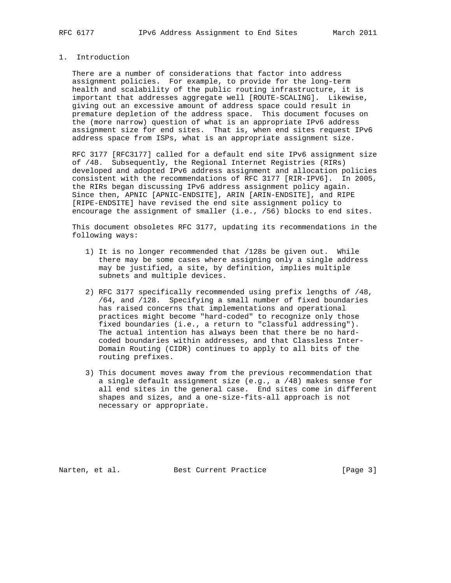# 1. Introduction

 There are a number of considerations that factor into address assignment policies. For example, to provide for the long-term health and scalability of the public routing infrastructure, it is important that addresses aggregate well [ROUTE-SCALING]. Likewise, giving out an excessive amount of address space could result in premature depletion of the address space. This document focuses on the (more narrow) question of what is an appropriate IPv6 address assignment size for end sites. That is, when end sites request IPv6 address space from ISPs, what is an appropriate assignment size.

 RFC 3177 [RFC3177] called for a default end site IPv6 assignment size of /48. Subsequently, the Regional Internet Registries (RIRs) developed and adopted IPv6 address assignment and allocation policies consistent with the recommendations of RFC 3177 [RIR-IPV6]. In 2005, the RIRs began discussing IPv6 address assignment policy again. Since then, APNIC [APNIC-ENDSITE], ARIN [ARIN-ENDSITE], and RIPE [RIPE-ENDSITE] have revised the end site assignment policy to encourage the assignment of smaller (i.e., /56) blocks to end sites.

 This document obsoletes RFC 3177, updating its recommendations in the following ways:

- 1) It is no longer recommended that /128s be given out. While there may be some cases where assigning only a single address may be justified, a site, by definition, implies multiple subnets and multiple devices.
- 2) RFC 3177 specifically recommended using prefix lengths of /48, /64, and /128. Specifying a small number of fixed boundaries has raised concerns that implementations and operational practices might become "hard-coded" to recognize only those fixed boundaries (i.e., a return to "classful addressing"). The actual intention has always been that there be no hard coded boundaries within addresses, and that Classless Inter- Domain Routing (CIDR) continues to apply to all bits of the routing prefixes.
- 3) This document moves away from the previous recommendation that a single default assignment size (e.g., a /48) makes sense for all end sites in the general case. End sites come in different shapes and sizes, and a one-size-fits-all approach is not necessary or appropriate.

Narten, et al. Best Current Practice [Page 3]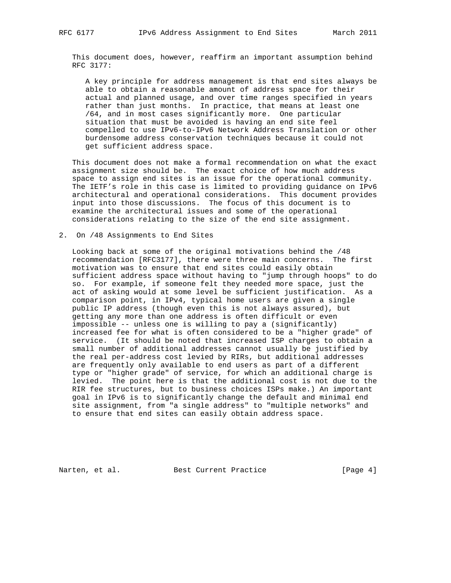This document does, however, reaffirm an important assumption behind RFC 3177:

 A key principle for address management is that end sites always be able to obtain a reasonable amount of address space for their actual and planned usage, and over time ranges specified in years rather than just months. In practice, that means at least one /64, and in most cases significantly more. One particular situation that must be avoided is having an end site feel compelled to use IPv6-to-IPv6 Network Address Translation or other burdensome address conservation techniques because it could not get sufficient address space.

 This document does not make a formal recommendation on what the exact assignment size should be. The exact choice of how much address space to assign end sites is an issue for the operational community. The IETF's role in this case is limited to providing guidance on IPv6 architectural and operational considerations. This document provides input into those discussions. The focus of this document is to examine the architectural issues and some of the operational considerations relating to the size of the end site assignment.

#### 2. On /48 Assignments to End Sites

 Looking back at some of the original motivations behind the /48 recommendation [RFC3177], there were three main concerns. The first motivation was to ensure that end sites could easily obtain sufficient address space without having to "jump through hoops" to do so. For example, if someone felt they needed more space, just the act of asking would at some level be sufficient justification. As a comparison point, in IPv4, typical home users are given a single public IP address (though even this is not always assured), but getting any more than one address is often difficult or even impossible -- unless one is willing to pay a (significantly) increased fee for what is often considered to be a "higher grade" of service. (It should be noted that increased ISP charges to obtain a small number of additional addresses cannot usually be justified by the real per-address cost levied by RIRs, but additional addresses are frequently only available to end users as part of a different type or "higher grade" of service, for which an additional charge is levied. The point here is that the additional cost is not due to the RIR fee structures, but to business choices ISPs make.) An important goal in IPv6 is to significantly change the default and minimal end site assignment, from "a single address" to "multiple networks" and to ensure that end sites can easily obtain address space.

Narten, et al. Best Current Practice [Page 4]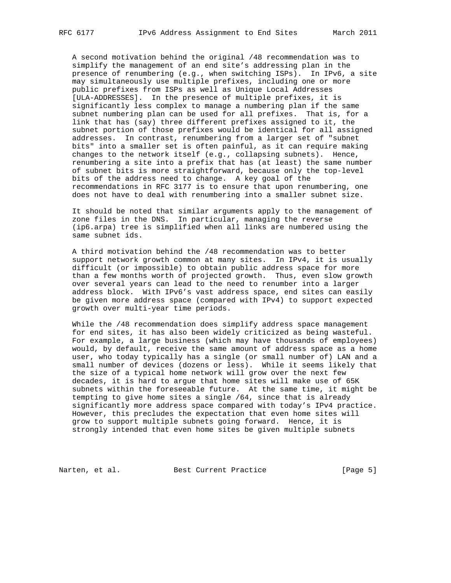A second motivation behind the original /48 recommendation was to simplify the management of an end site's addressing plan in the presence of renumbering (e.g., when switching ISPs). In IPv6, a site may simultaneously use multiple prefixes, including one or more public prefixes from ISPs as well as Unique Local Addresses [ULA-ADDRESSES]. In the presence of multiple prefixes, it is significantly less complex to manage a numbering plan if the same subnet numbering plan can be used for all prefixes. That is, for a link that has (say) three different prefixes assigned to it, the subnet portion of those prefixes would be identical for all assigned addresses. In contrast, renumbering from a larger set of "subnet bits" into a smaller set is often painful, as it can require making changes to the network itself (e.g., collapsing subnets). Hence, renumbering a site into a prefix that has (at least) the same number of subnet bits is more straightforward, because only the top-level bits of the address need to change. A key goal of the recommendations in RFC 3177 is to ensure that upon renumbering, one does not have to deal with renumbering into a smaller subnet size.

 It should be noted that similar arguments apply to the management of zone files in the DNS. In particular, managing the reverse (ip6.arpa) tree is simplified when all links are numbered using the same subnet ids.

 A third motivation behind the /48 recommendation was to better support network growth common at many sites. In IPv4, it is usually difficult (or impossible) to obtain public address space for more than a few months worth of projected growth. Thus, even slow growth over several years can lead to the need to renumber into a larger address block. With IPv6's vast address space, end sites can easily be given more address space (compared with IPv4) to support expected growth over multi-year time periods.

 While the /48 recommendation does simplify address space management for end sites, it has also been widely criticized as being wasteful. For example, a large business (which may have thousands of employees) would, by default, receive the same amount of address space as a home user, who today typically has a single (or small number of) LAN and a small number of devices (dozens or less). While it seems likely that the size of a typical home network will grow over the next few decades, it is hard to argue that home sites will make use of 65K subnets within the foreseeable future. At the same time, it might be tempting to give home sites a single /64, since that is already significantly more address space compared with today's IPv4 practice. However, this precludes the expectation that even home sites will grow to support multiple subnets going forward. Hence, it is strongly intended that even home sites be given multiple subnets

Narten, et al. Best Current Practice [Page 5]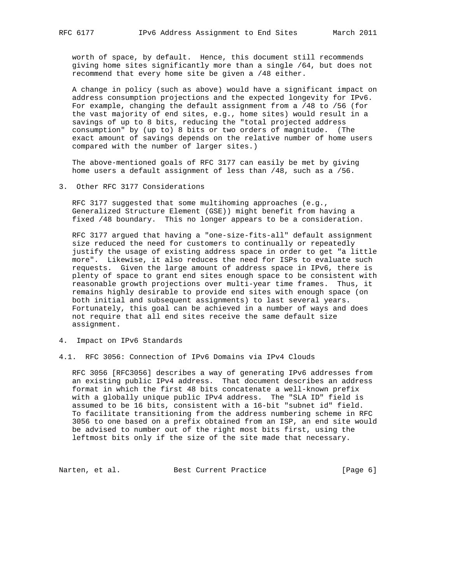worth of space, by default. Hence, this document still recommends giving home sites significantly more than a single /64, but does not recommend that every home site be given a /48 either.

 A change in policy (such as above) would have a significant impact on address consumption projections and the expected longevity for IPv6. For example, changing the default assignment from a /48 to /56 (for the vast majority of end sites, e.g., home sites) would result in a savings of up to 8 bits, reducing the "total projected address consumption" by (up to) 8 bits or two orders of magnitude. (The exact amount of savings depends on the relative number of home users compared with the number of larger sites.)

 The above-mentioned goals of RFC 3177 can easily be met by giving home users a default assignment of less than /48, such as a /56.

3. Other RFC 3177 Considerations

 RFC 3177 suggested that some multihoming approaches (e.g., Generalized Structure Element (GSE)) might benefit from having a fixed /48 boundary. This no longer appears to be a consideration.

 RFC 3177 argued that having a "one-size-fits-all" default assignment size reduced the need for customers to continually or repeatedly justify the usage of existing address space in order to get "a little more". Likewise, it also reduces the need for ISPs to evaluate such requests. Given the large amount of address space in IPv6, there is plenty of space to grant end sites enough space to be consistent with reasonable growth projections over multi-year time frames. Thus, it remains highly desirable to provide end sites with enough space (on both initial and subsequent assignments) to last several years. Fortunately, this goal can be achieved in a number of ways and does not require that all end sites receive the same default size assignment.

- 4. Impact on IPv6 Standards
- 4.1. RFC 3056: Connection of IPv6 Domains via IPv4 Clouds

 RFC 3056 [RFC3056] describes a way of generating IPv6 addresses from an existing public IPv4 address. That document describes an address format in which the first 48 bits concatenate a well-known prefix with a globally unique public IPv4 address. The "SLA ID" field is assumed to be 16 bits, consistent with a 16-bit "subnet id" field. To facilitate transitioning from the address numbering scheme in RFC 3056 to one based on a prefix obtained from an ISP, an end site would be advised to number out of the right most bits first, using the leftmost bits only if the size of the site made that necessary.

Narten, et al. Best Current Practice [Page 6]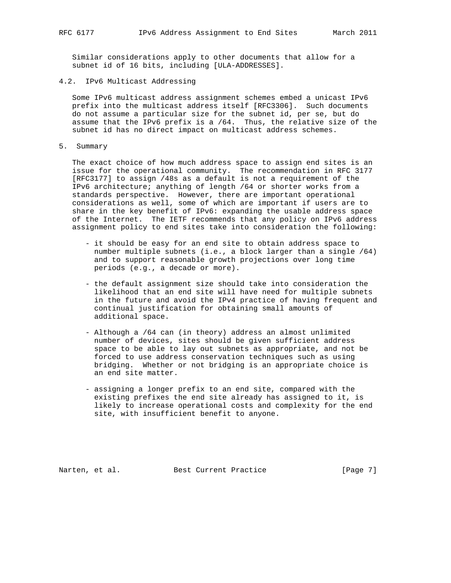Similar considerations apply to other documents that allow for a subnet id of 16 bits, including [ULA-ADDRESSES].

4.2. IPv6 Multicast Addressing

 Some IPv6 multicast address assignment schemes embed a unicast IPv6 prefix into the multicast address itself [RFC3306]. Such documents do not assume a particular size for the subnet id, per se, but do assume that the IPv6 prefix is a /64. Thus, the relative size of the subnet id has no direct impact on multicast address schemes.

5. Summary

 The exact choice of how much address space to assign end sites is an issue for the operational community. The recommendation in RFC 3177 [RFC3177] to assign /48s as a default is not a requirement of the IPv6 architecture; anything of length /64 or shorter works from a standards perspective. However, there are important operational considerations as well, some of which are important if users are to share in the key benefit of IPv6: expanding the usable address space of the Internet. The IETF recommends that any policy on IPv6 address assignment policy to end sites take into consideration the following:

- it should be easy for an end site to obtain address space to number multiple subnets (i.e., a block larger than a single /64) and to support reasonable growth projections over long time periods (e.g., a decade or more).
- the default assignment size should take into consideration the likelihood that an end site will have need for multiple subnets in the future and avoid the IPv4 practice of having frequent and continual justification for obtaining small amounts of additional space.
- Although a /64 can (in theory) address an almost unlimited number of devices, sites should be given sufficient address space to be able to lay out subnets as appropriate, and not be forced to use address conservation techniques such as using bridging. Whether or not bridging is an appropriate choice is an end site matter.
- assigning a longer prefix to an end site, compared with the existing prefixes the end site already has assigned to it, is likely to increase operational costs and complexity for the end site, with insufficient benefit to anyone.

Narten, et al. Best Current Practice [Page 7]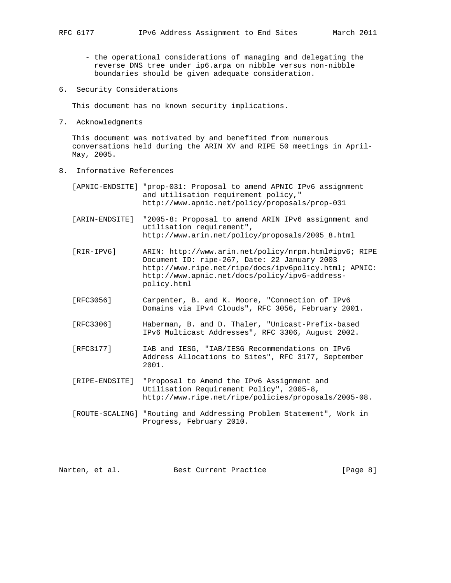- the operational considerations of managing and delegating the reverse DNS tree under ip6.arpa on nibble versus non-nibble boundaries should be given adequate consideration.
- 6. Security Considerations

This document has no known security implications.

7. Acknowledgments

 This document was motivated by and benefited from numerous conversations held during the ARIN XV and RIPE 50 meetings in April- May, 2005.

8. Informative References

| [APNIC-ENDSITE] "prop-031: Proposal to amend APNIC IPv6 assignment |
|--------------------------------------------------------------------|
| and utilisation requirement policy,"                               |
| http://www.apnic.net/policy/proposals/prop-031                     |
|                                                                    |

 [ARIN-ENDSITE] "2005-8: Proposal to amend ARIN IPv6 assignment and utilisation requirement", http://www.arin.net/policy/proposals/2005\_8.html

- [RIR-IPV6] ARIN: http://www.arin.net/policy/nrpm.html#ipv6; RIPE Document ID: ripe-267, Date: 22 January 2003 http://www.ripe.net/ripe/docs/ipv6policy.html; APNIC: http://www.apnic.net/docs/policy/ipv6-address policy.html
- [RFC3056] Carpenter, B. and K. Moore, "Connection of IPv6 Domains via IPv4 Clouds", RFC 3056, February 2001.
- [RFC3306] Haberman, B. and D. Thaler, "Unicast-Prefix-based IPv6 Multicast Addresses", RFC 3306, August 2002.
- [RFC3177] IAB and IESG, "IAB/IESG Recommendations on IPv6 Address Allocations to Sites", RFC 3177, September 2001.
- [RIPE-ENDSITE] "Proposal to Amend the IPv6 Assignment and Utilisation Requirement Policy", 2005-8, http://www.ripe.net/ripe/policies/proposals/2005-08.
- [ROUTE-SCALING] "Routing and Addressing Problem Statement", Work in Progress, February 2010.

Narten, et al. Best Current Practice [Page 8]